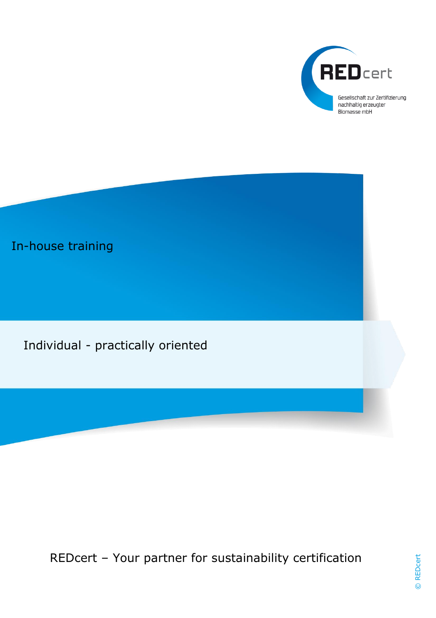

# In-house training

Individual - practically oriented

REDcert – Your partner for sustainability certification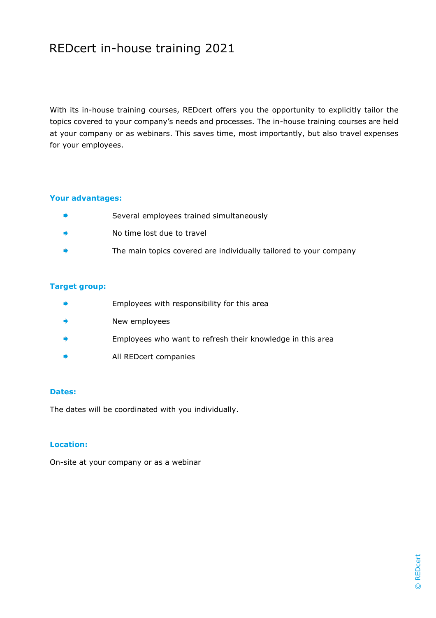# REDcert in-house training 2021

With its in-house training courses, REDcert offers you the opportunity to explicitly tailor the topics covered to your company's needs and processes. The in-house training courses are held at your company or as webinars. This saves time, most importantly, but also travel expenses for your employees.

## **Your advantages:**

- ä. Several employees trained simultaneously
- a) No time lost due to travel
- The main topics covered are individually tailored to your company

#### **Target group:**

- $\Rightarrow$ Employees with responsibility for this area
- ۰ New employees
- Employees who want to refresh their knowledge in this area ۰
- a. All REDcert companies

#### **Dates:**

The dates will be coordinated with you individually.

## **Location:**

On-site at your company or as a webinar